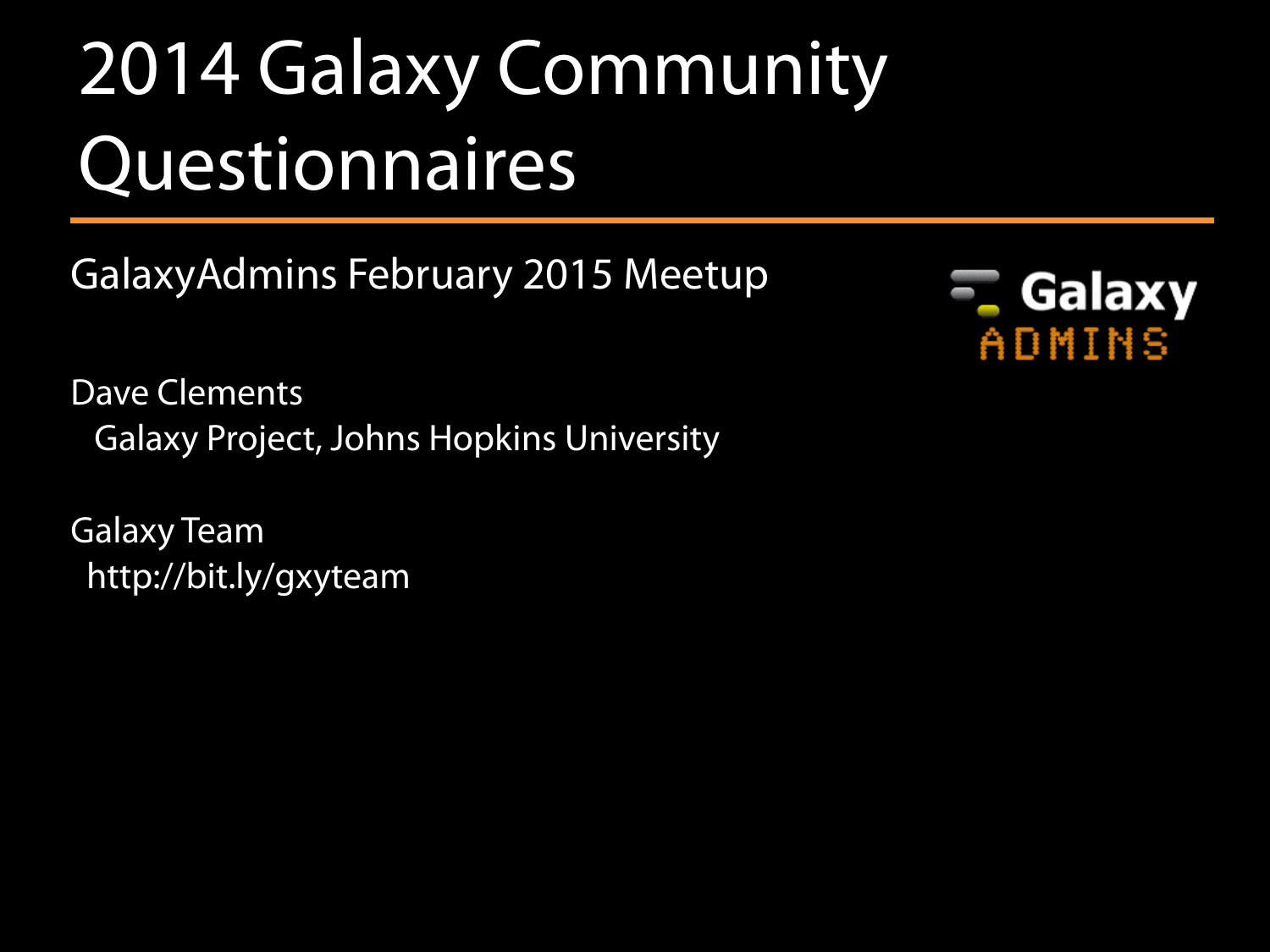# 2014 Galaxy Community Questionnaires

GalaxyAdmins February 2015 Meetup

Dave Clements Galaxy Project, Johns Hopkins University

Galaxy Team <http://bit.ly/gxyteam>

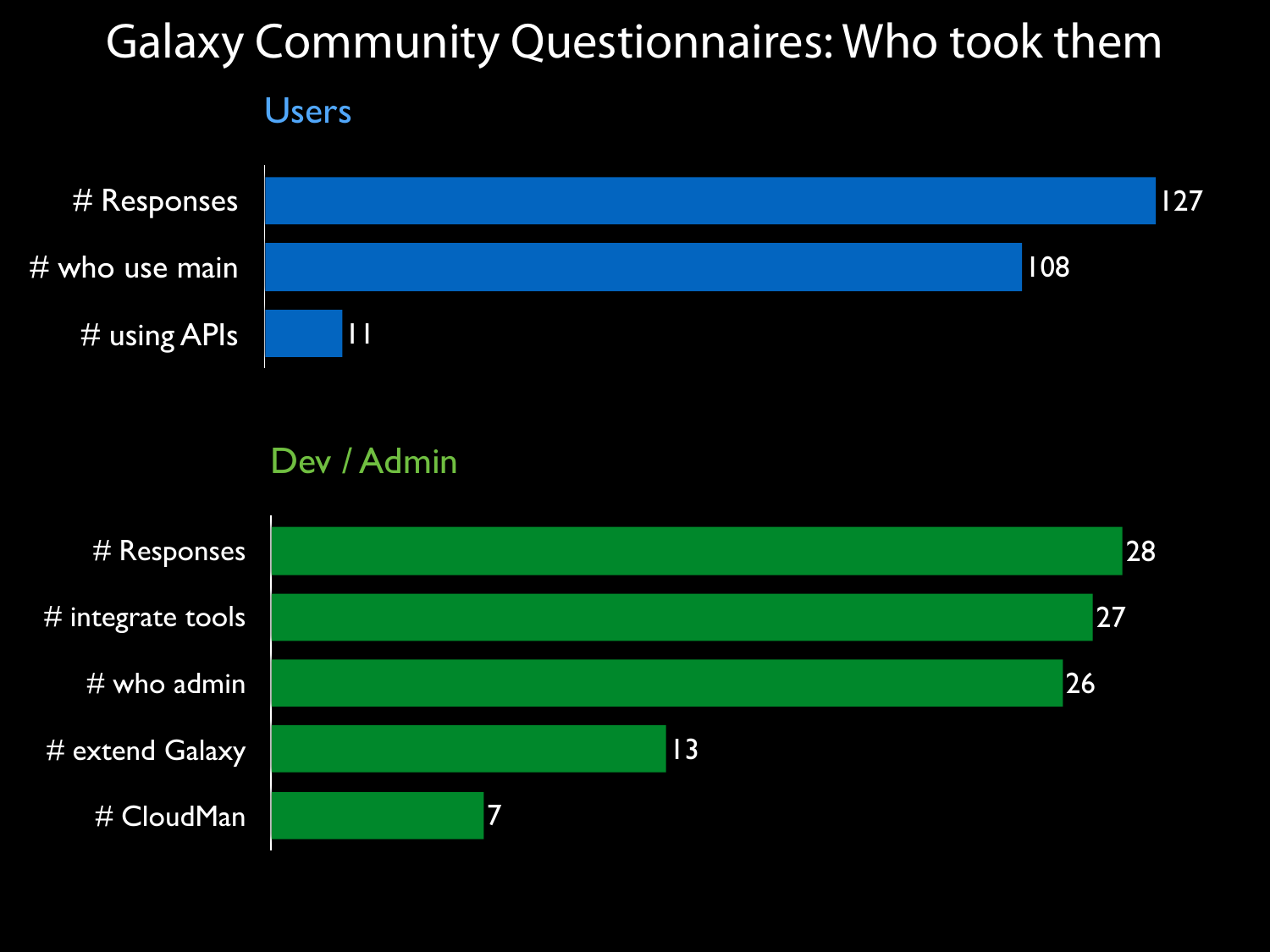## Galaxy Community Questionnaires: Who took them





#### Dev / Admin

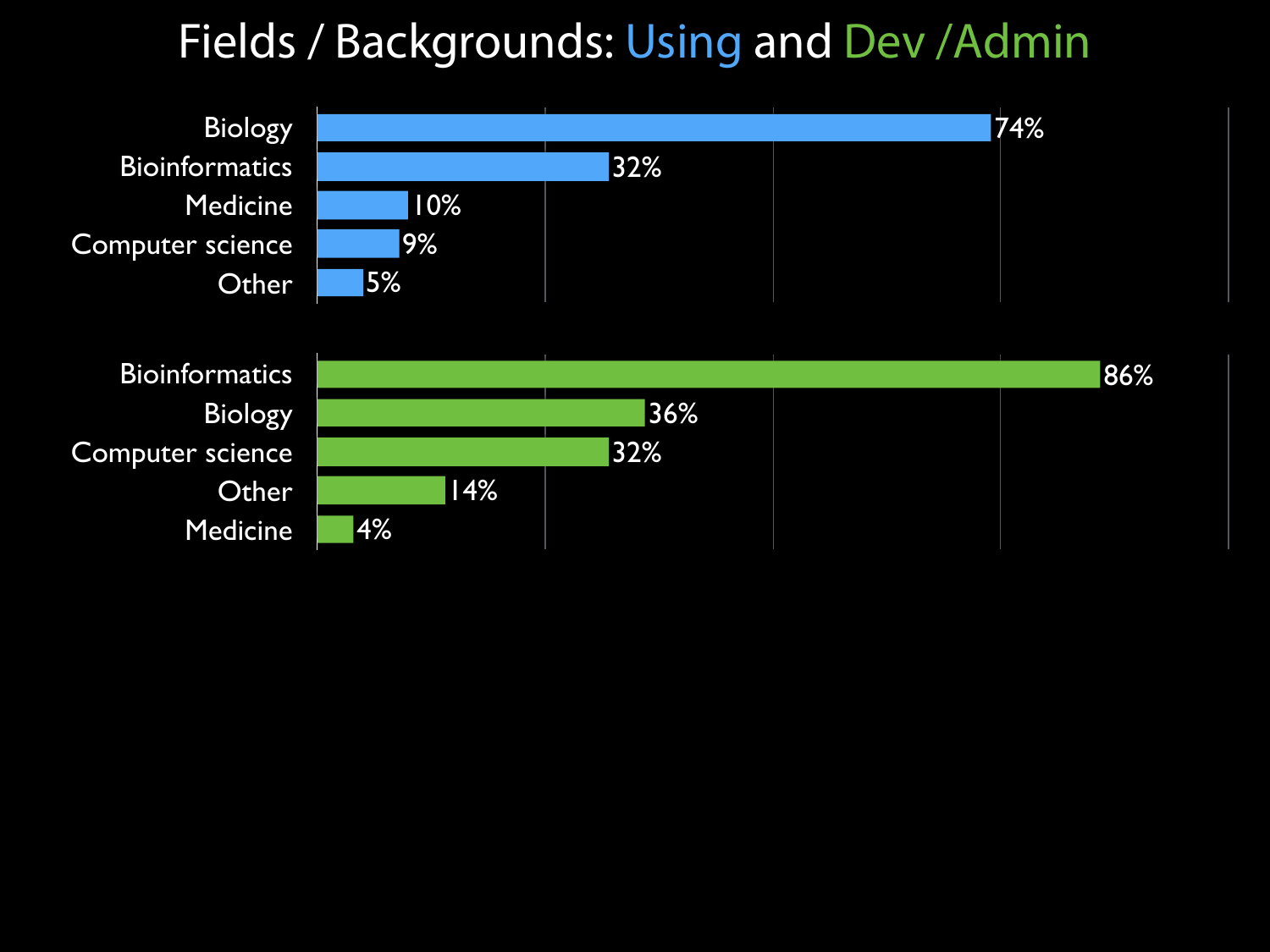#### Fields / Backgrounds: Using and Dev /Admin

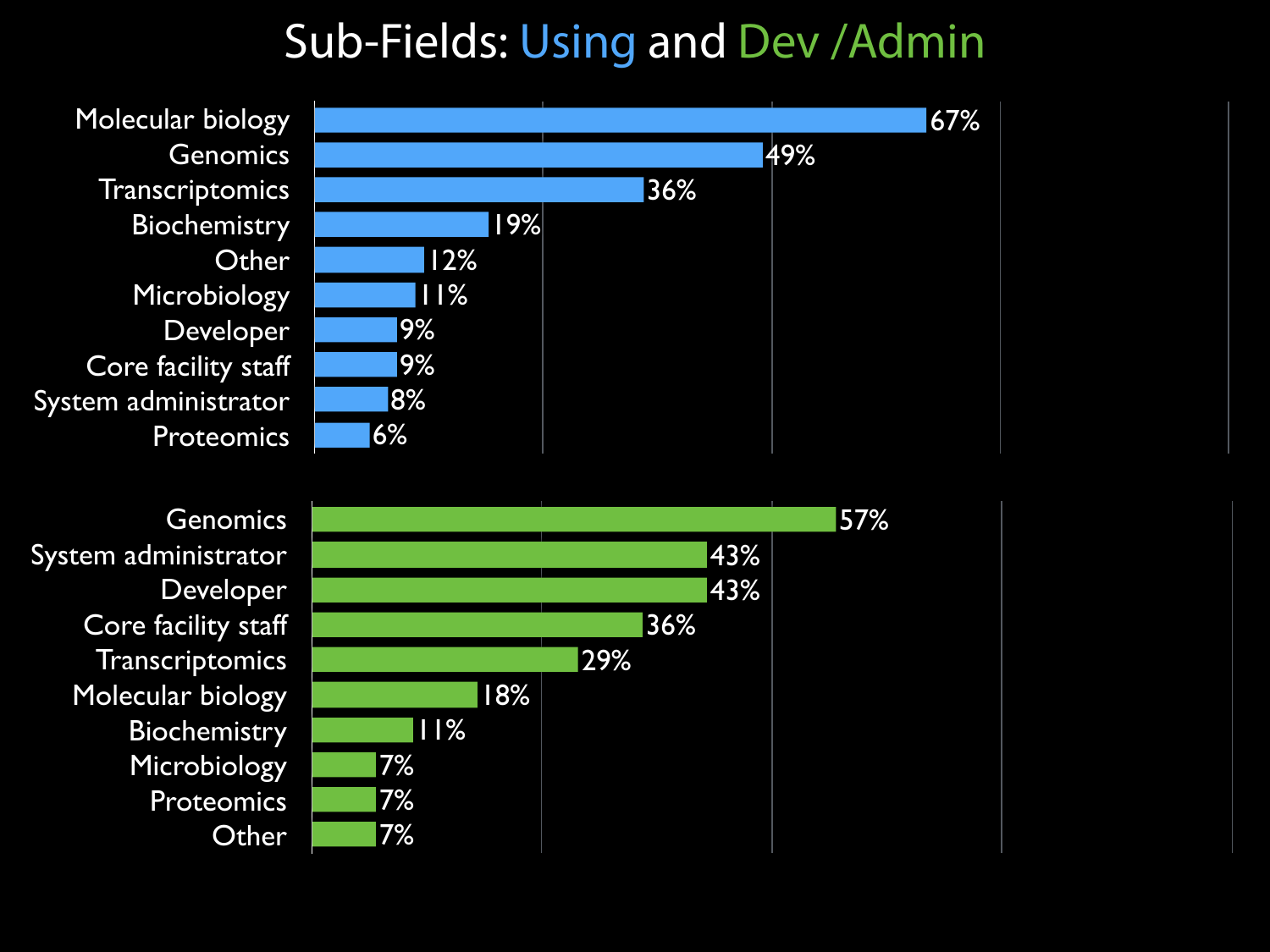#### Sub-Fields: Using and Dev /Admin

Molecular biology Genomics **Transcriptomics Biochemistry Other** Microbiology Developer Core facility staff System administrator **Proteomics** 



**Genomics** System administrator Developer Core facility staff **Transcriptomics** Molecular biology **Biochemistry** Microbiology **Proteomics Other** 

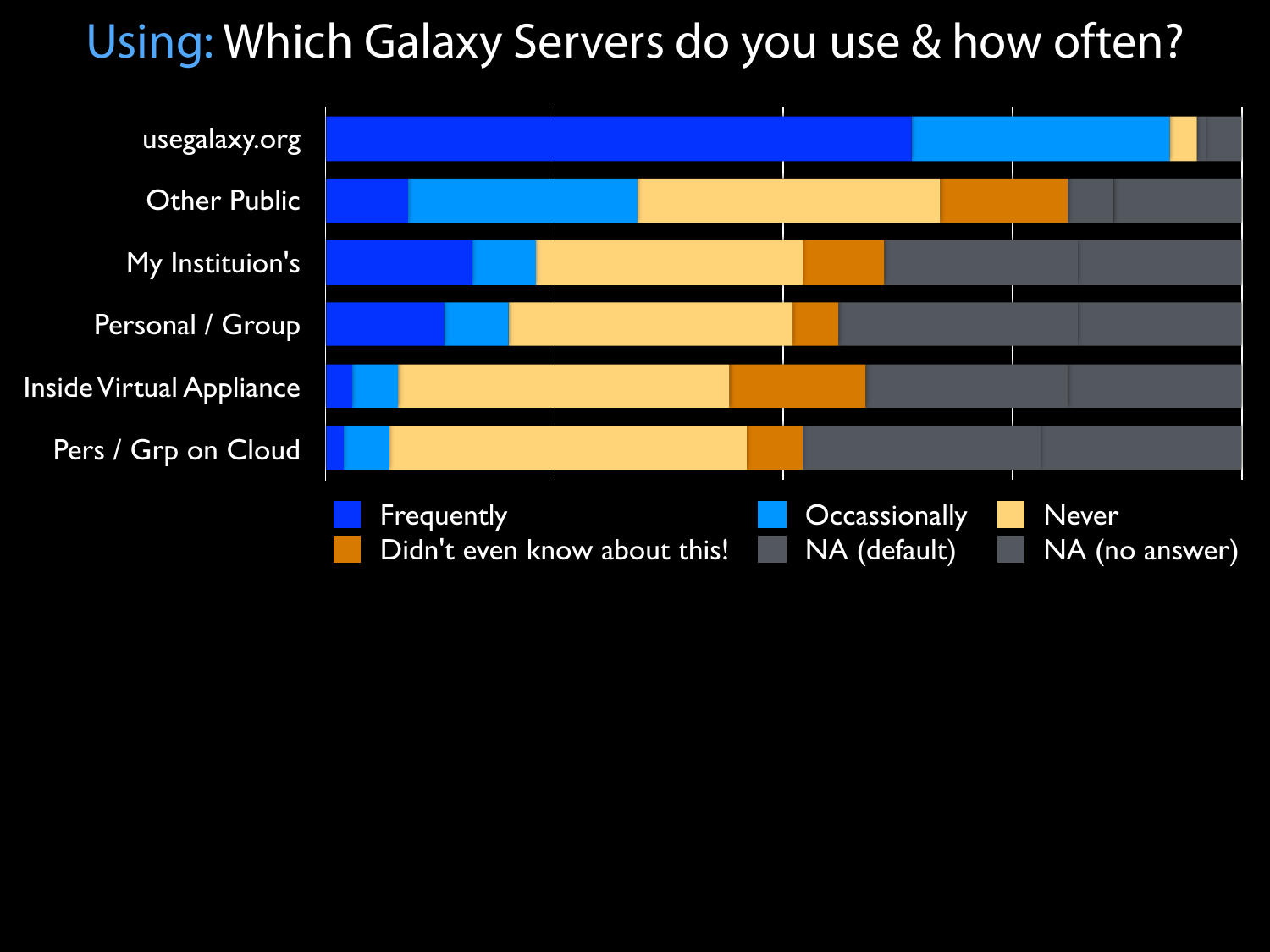#### Using: Which Galaxy Servers do you use & how often?

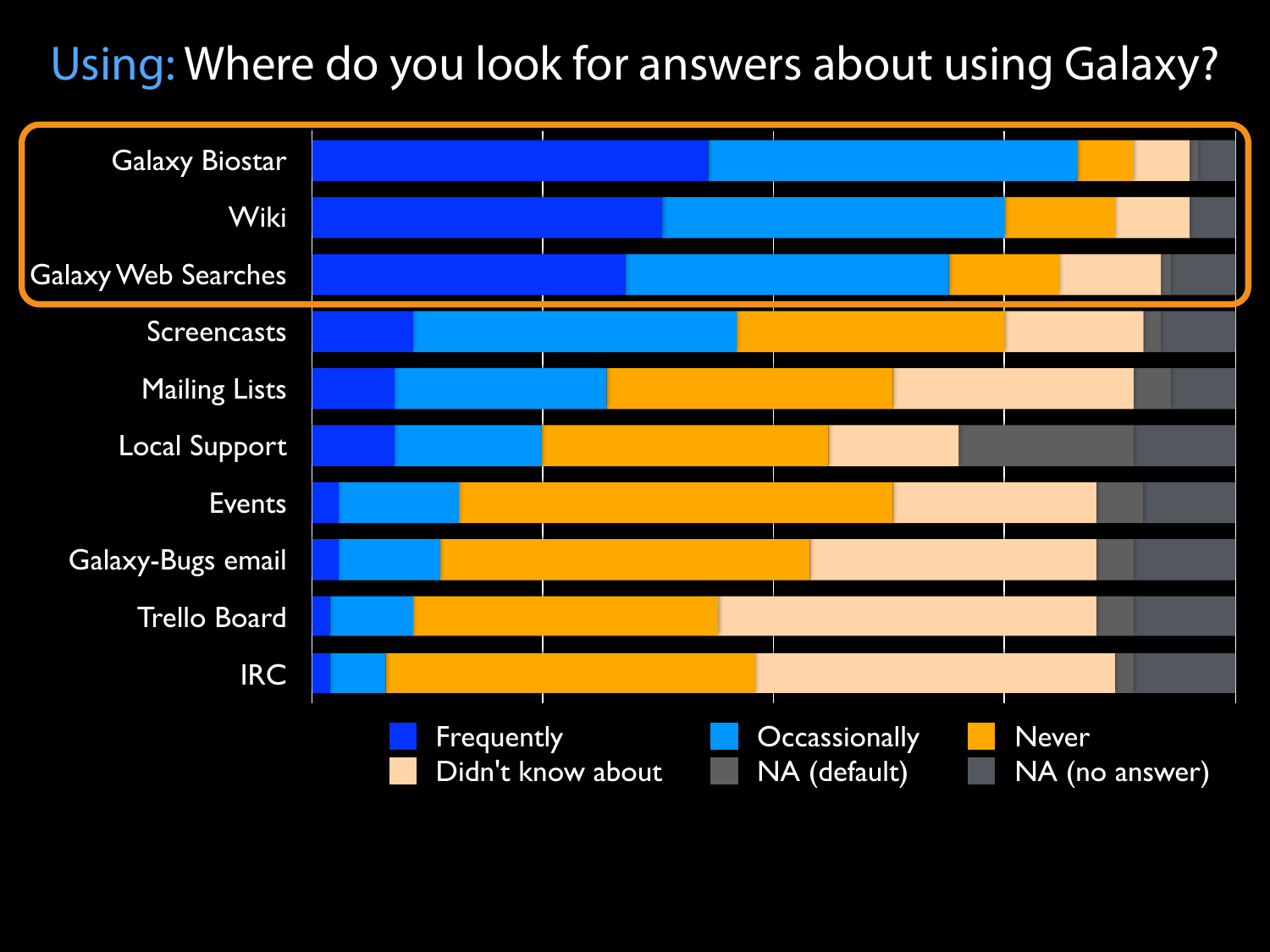#### Using: Where do you look for answers about using Galaxy?

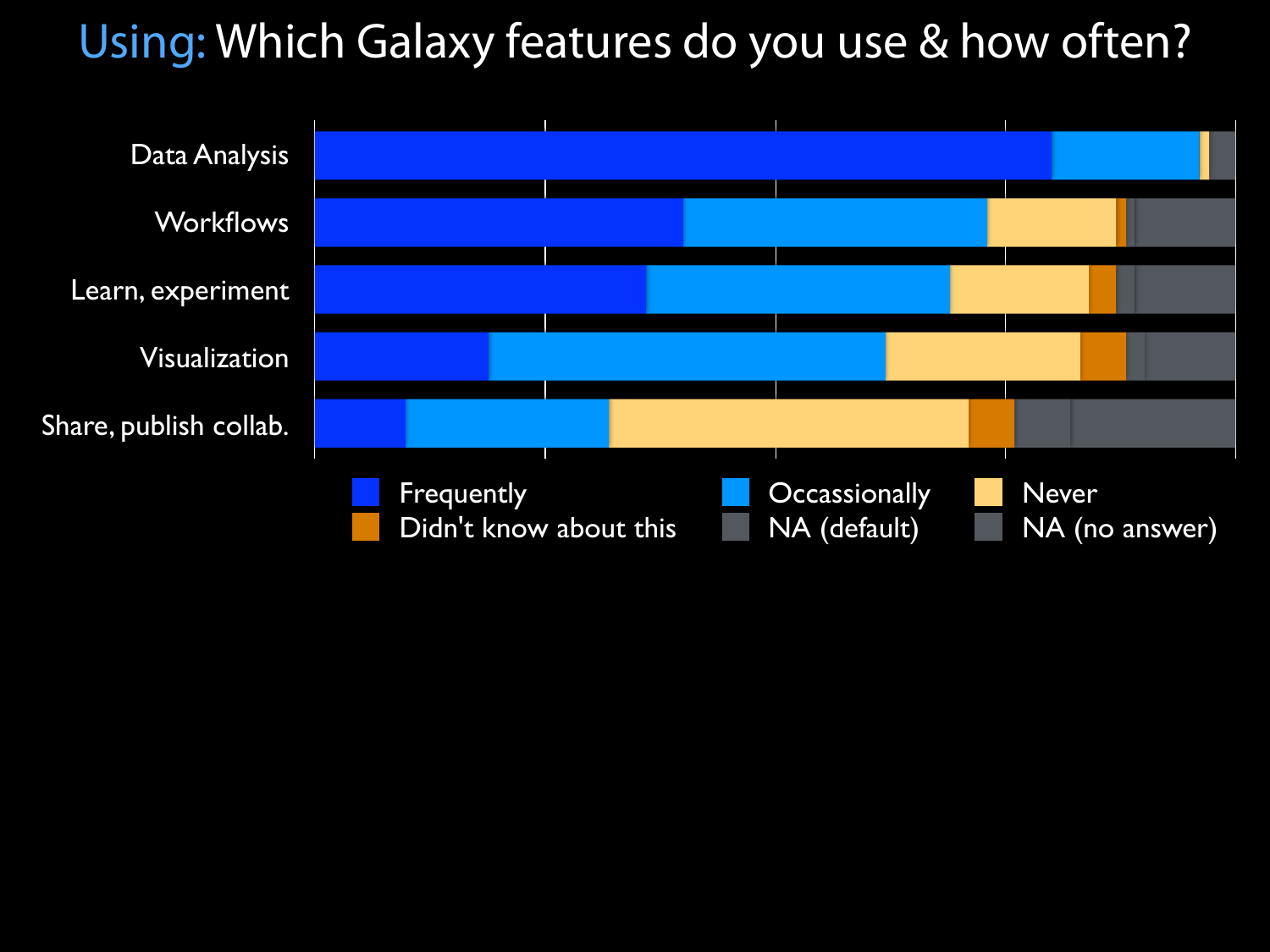#### Using: Which Galaxy features do you use & how often?

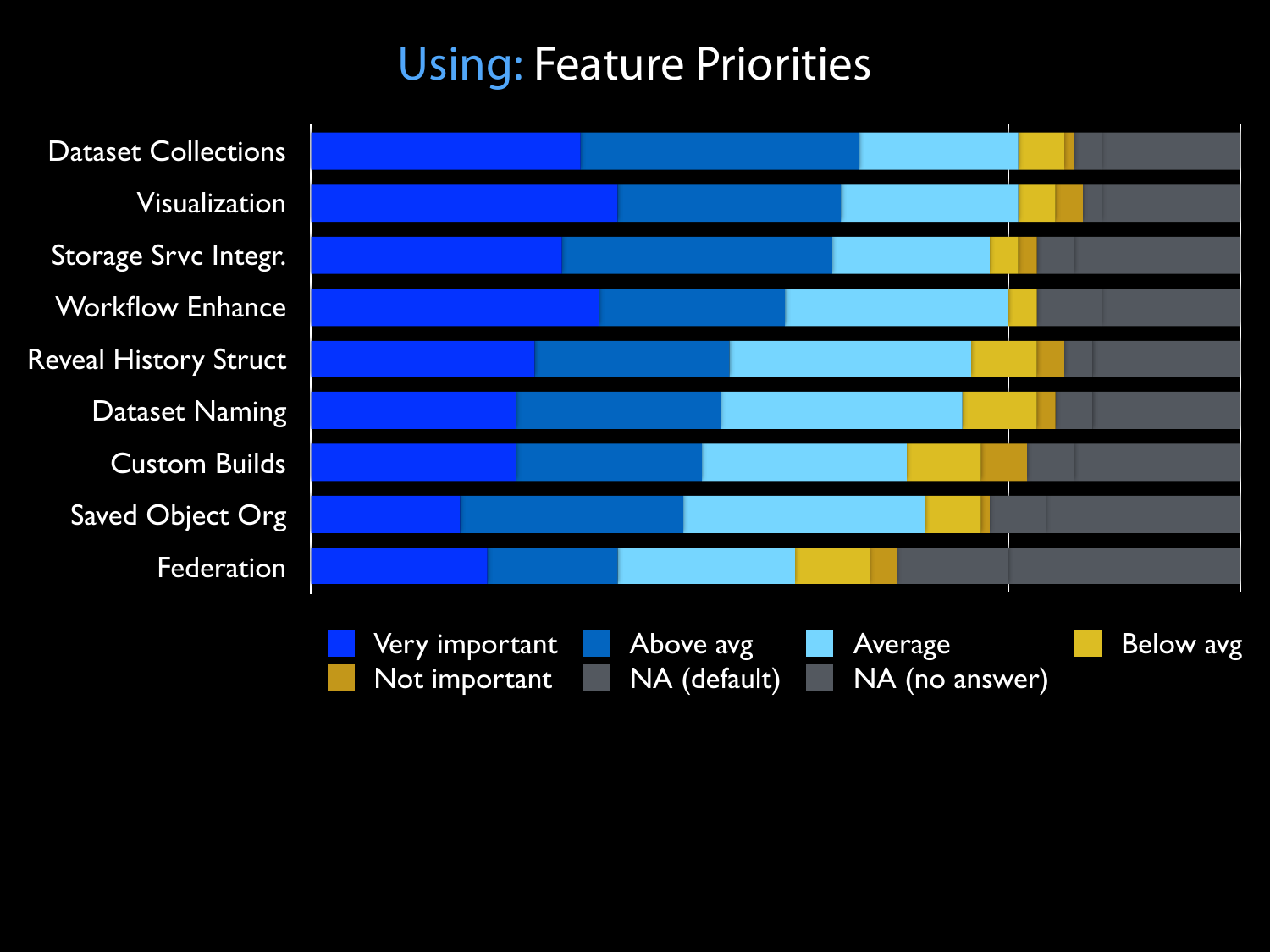#### Using: Feature Priorities

Dataset Collections Visualization Storage Srvc Integr. Workflow Enhance Reveal History Struct Dataset Naming Custom Builds Saved Object Org Federation

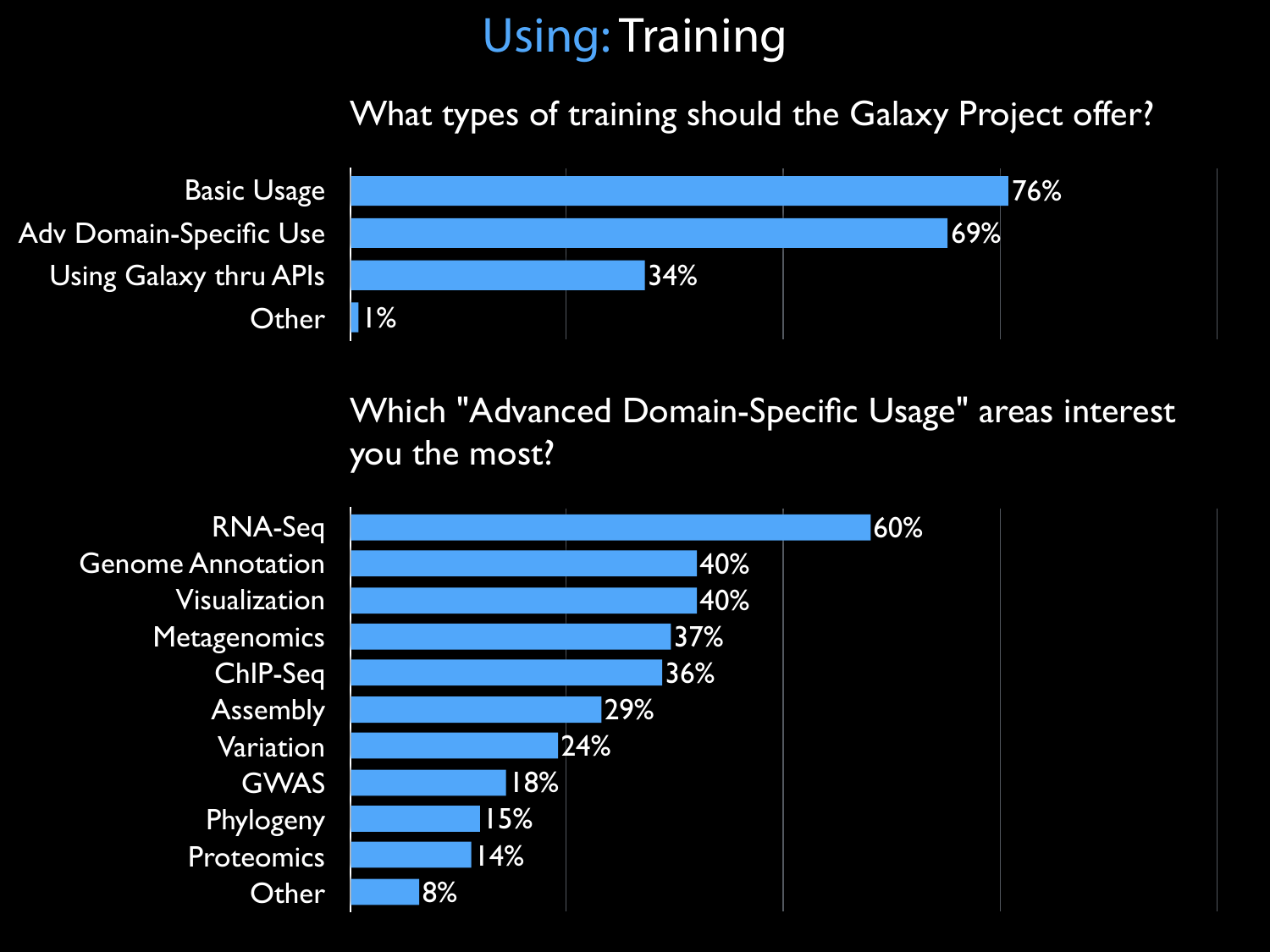#### Using: Training

What types of training should the Galaxy Project offer?



Which "Advanced Domain-Specific Usage" areas interest you the most?

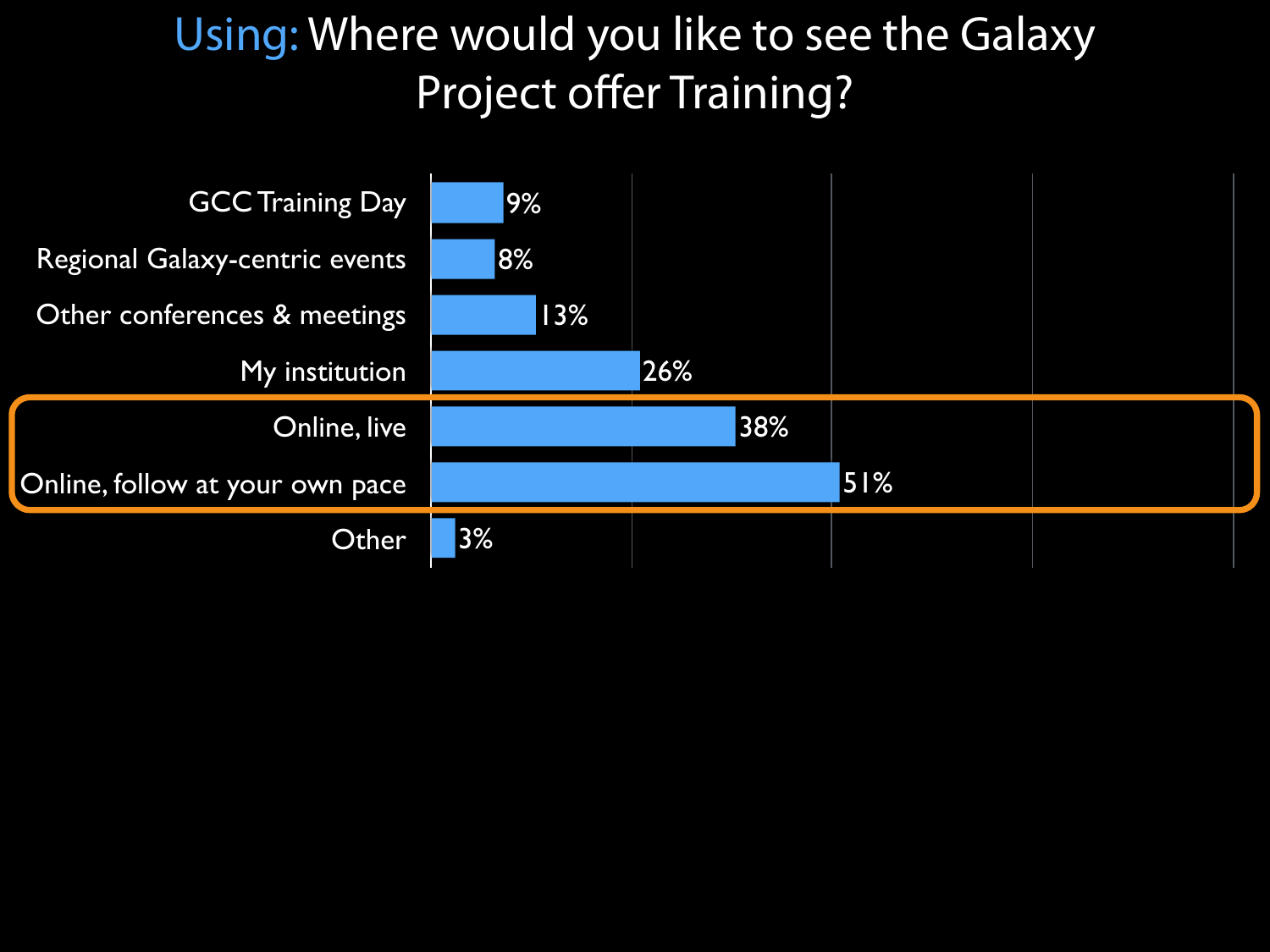#### Using: Where would you like to see the Galaxy Project offer Training?

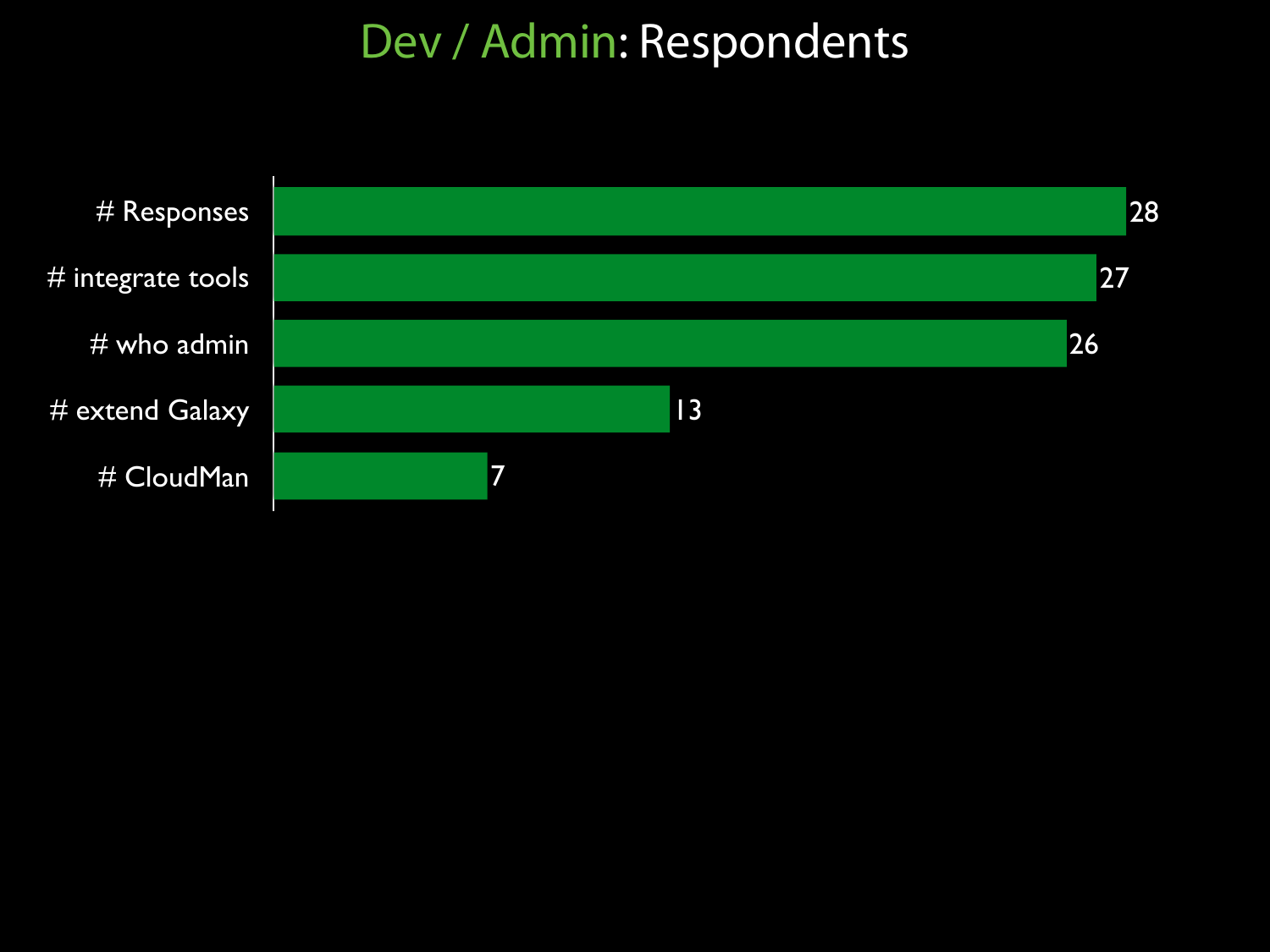#### Dev / Admin: Respondents

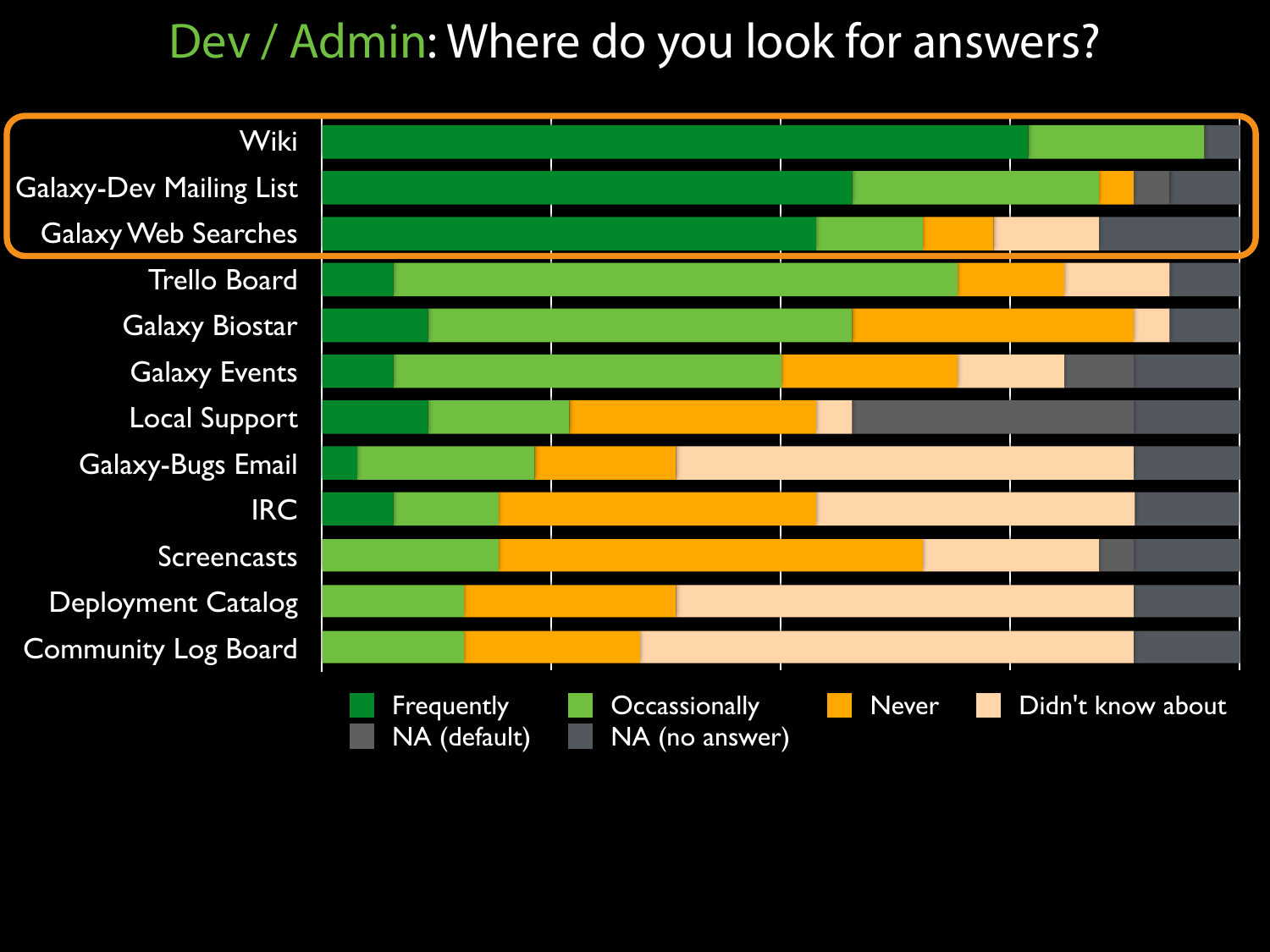#### Dev / Admin: Where do you look for answers?

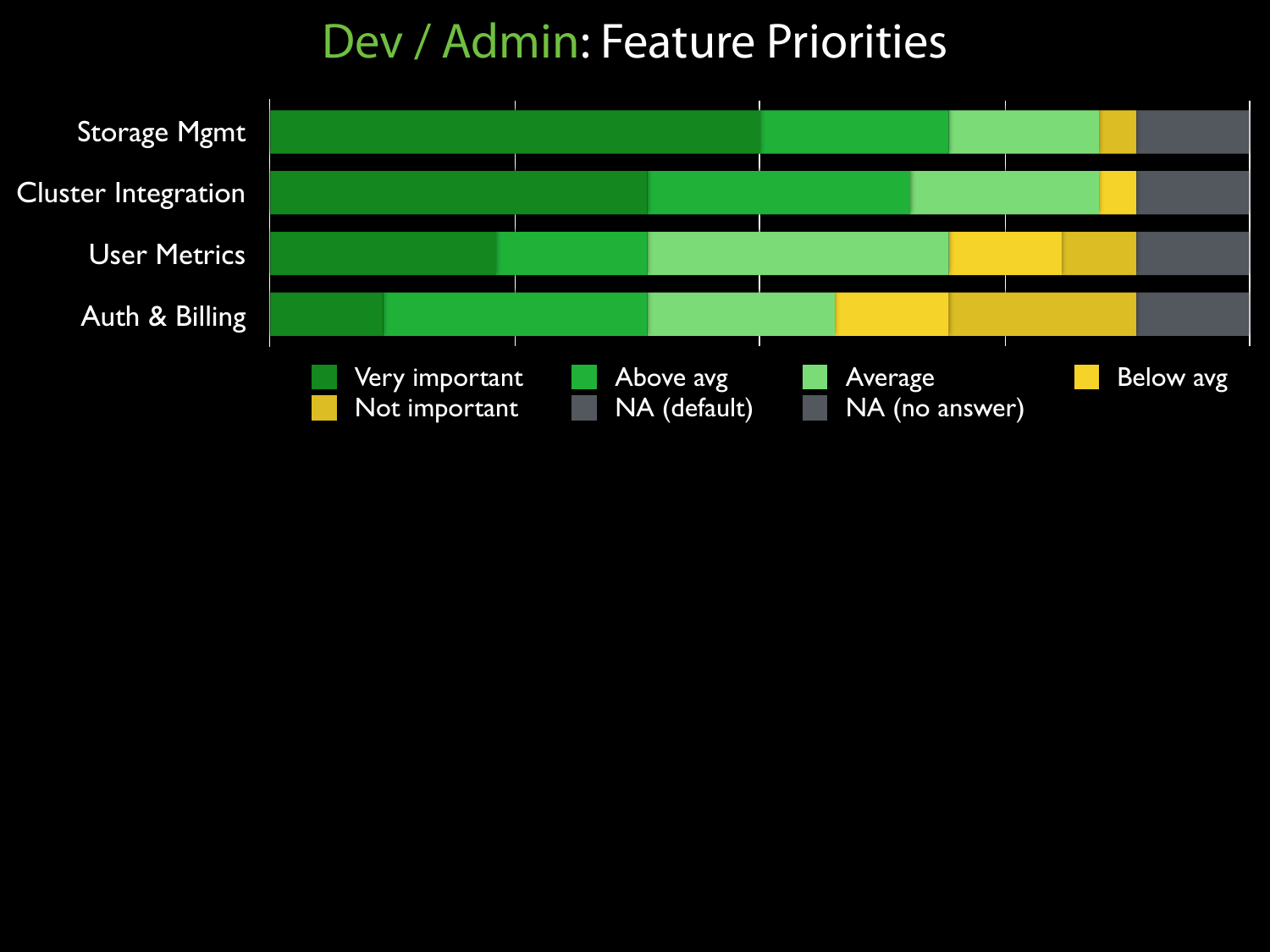#### Dev / Admin: Feature Priorities

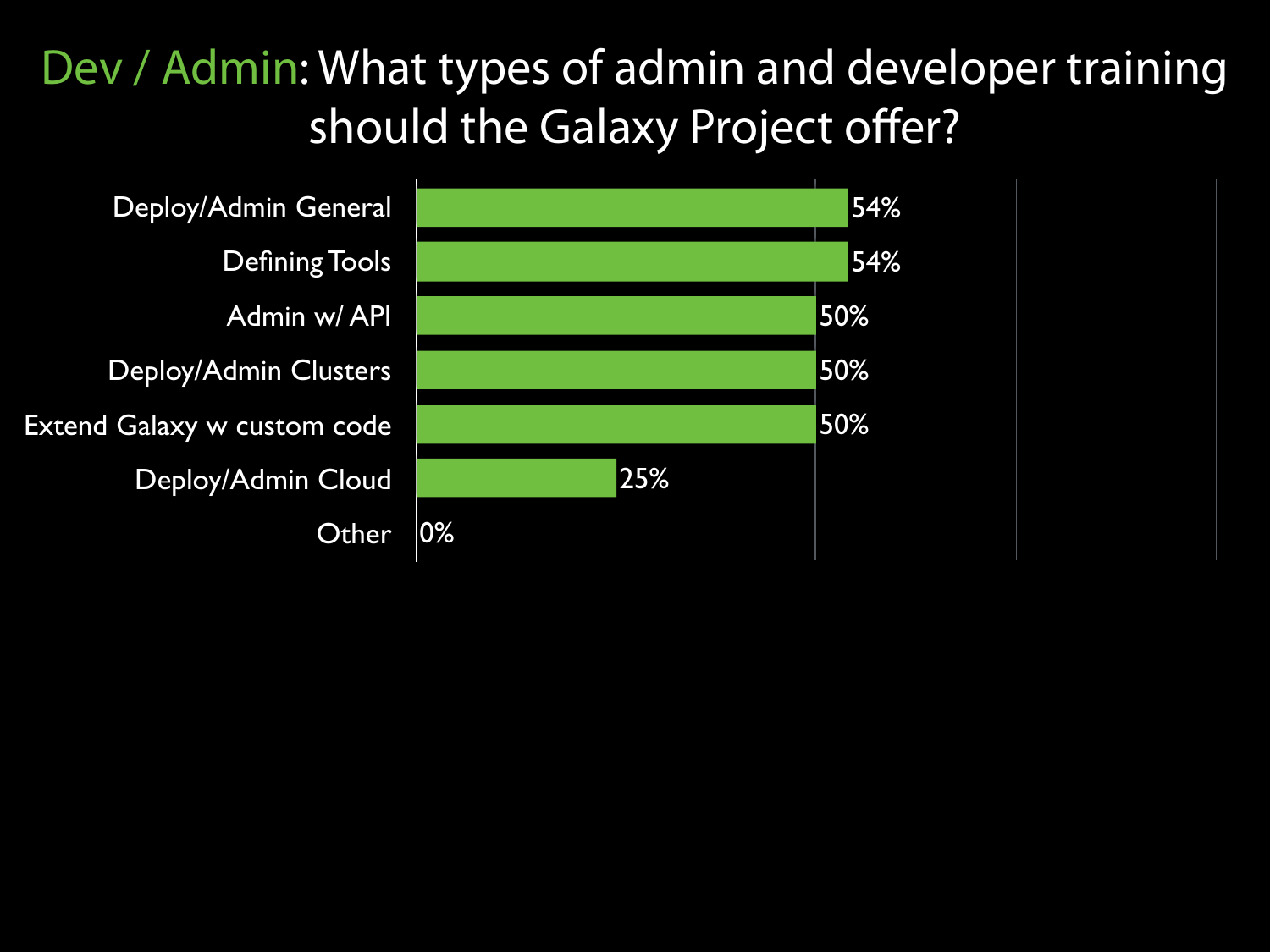#### Dev / Admin: What types of admin and developer training should the Galaxy Project offer?

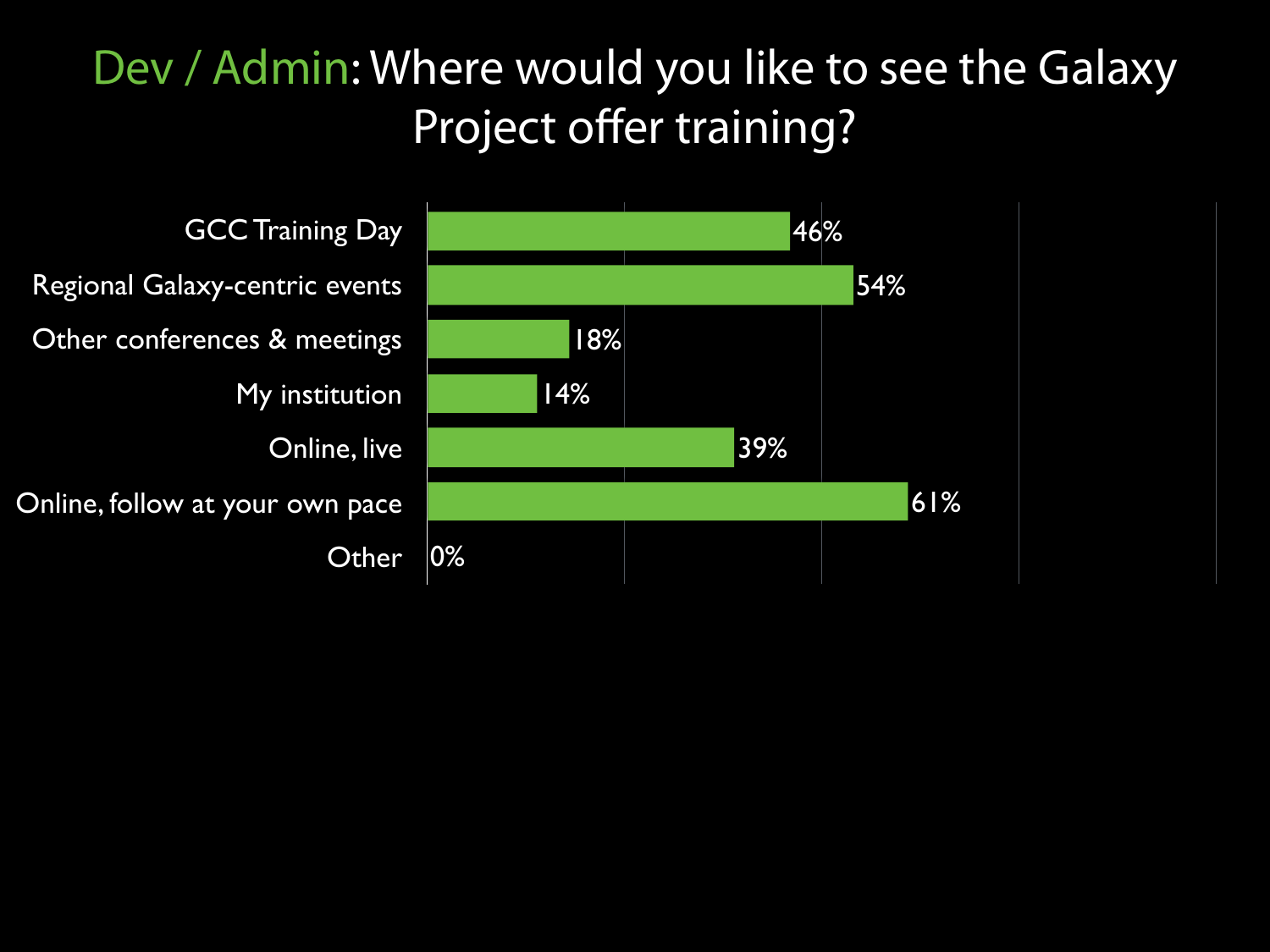#### Dev / Admin: Where would you like to see the Galaxy Project offer training?

GCC Training Day Regional Galaxy-centric events Other conferences & meetings My institution Online, live Online, follow at your own pace **Other** 

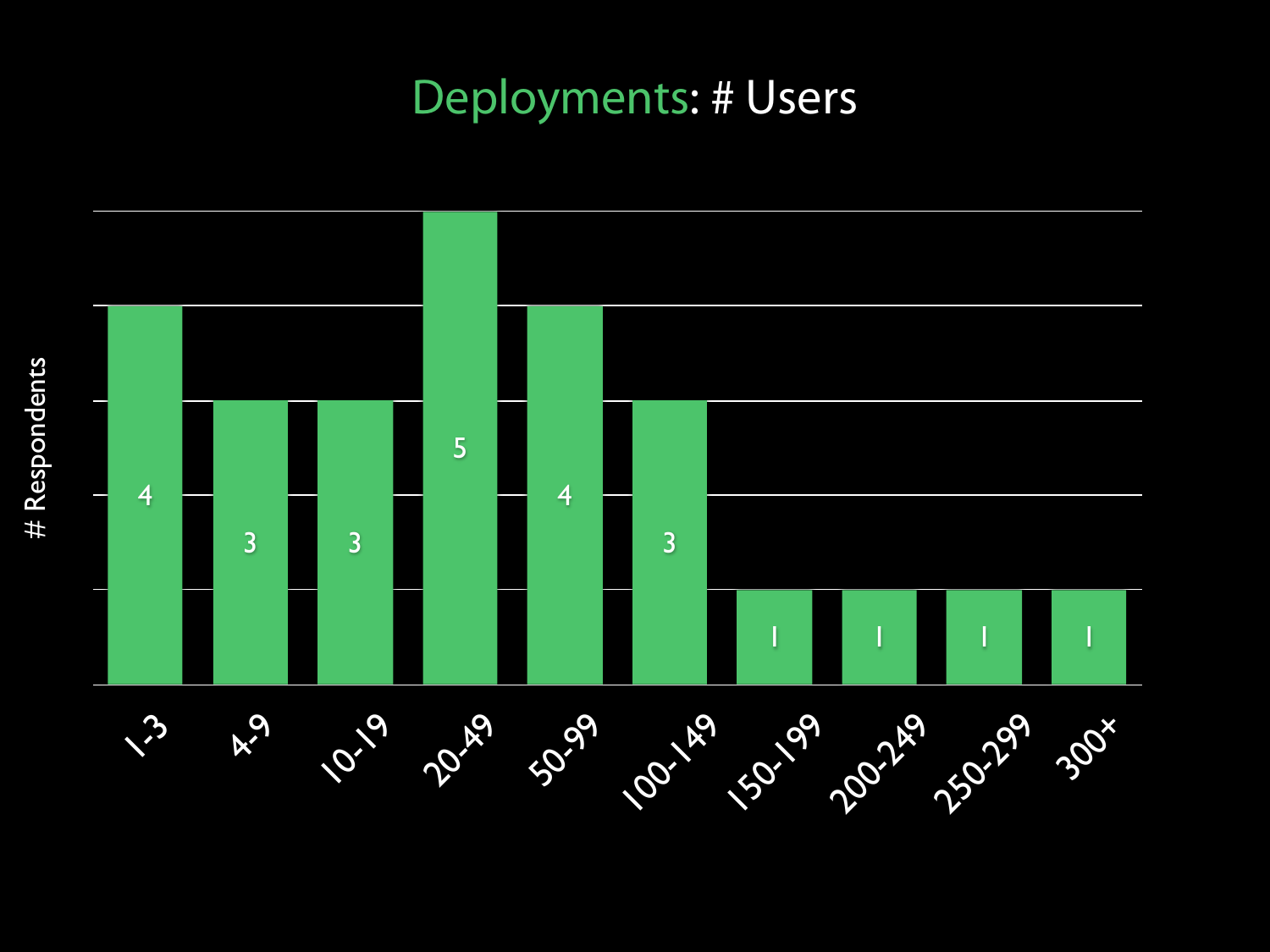#### Deployments: # Users

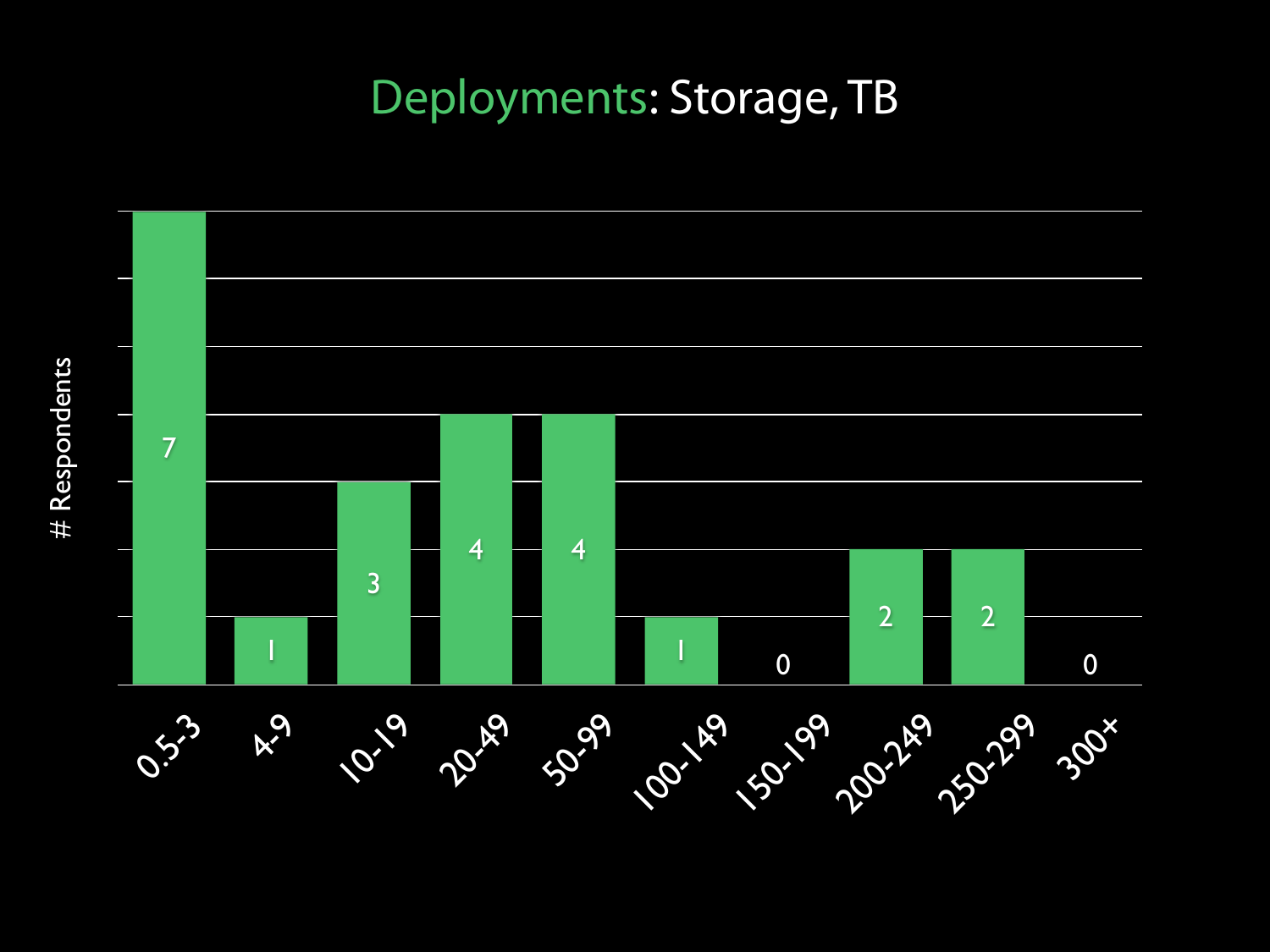#### Deployments: Storage, TB



# Respondents # Respondents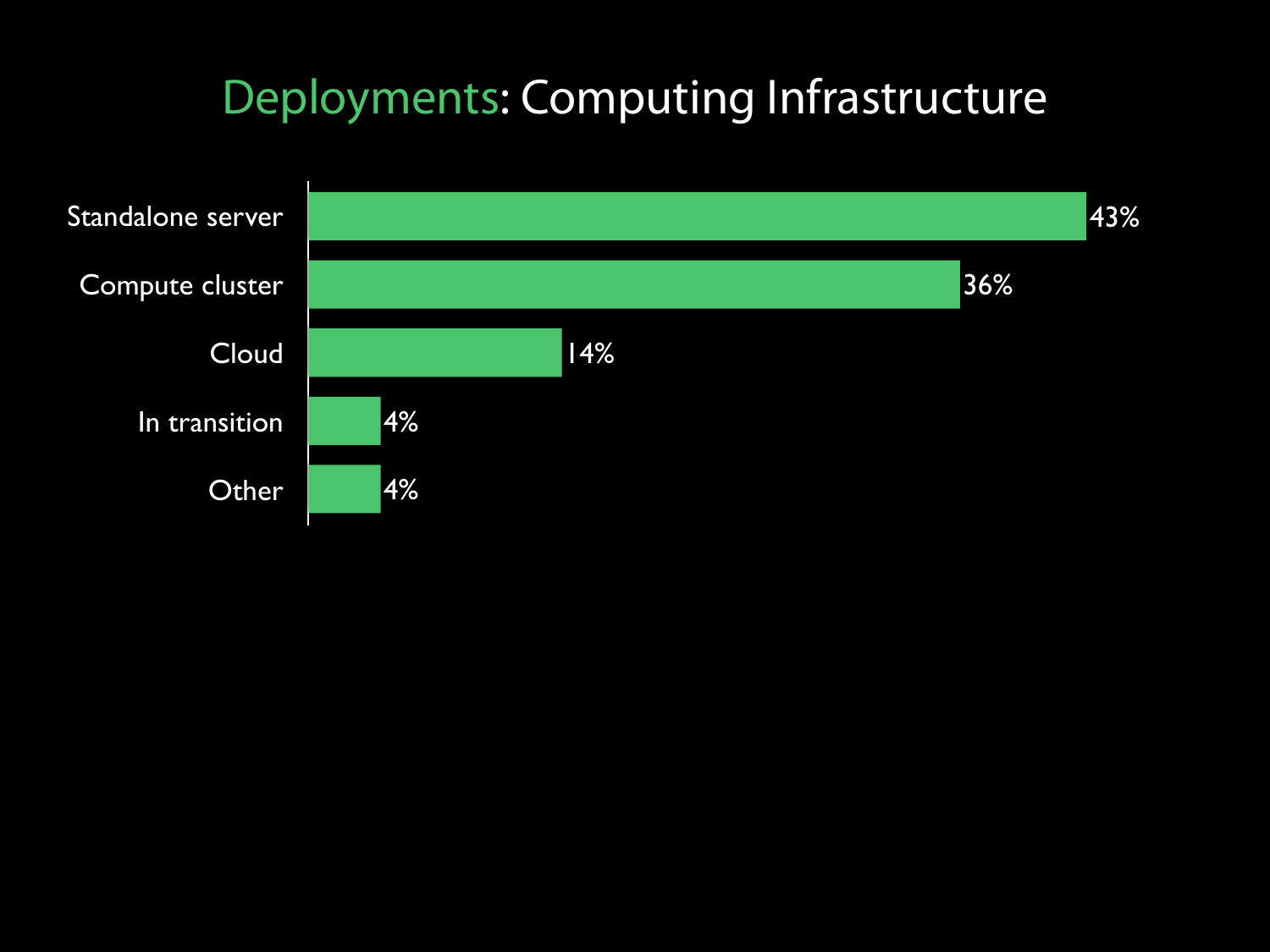#### Deployments: Computing Infrastructure

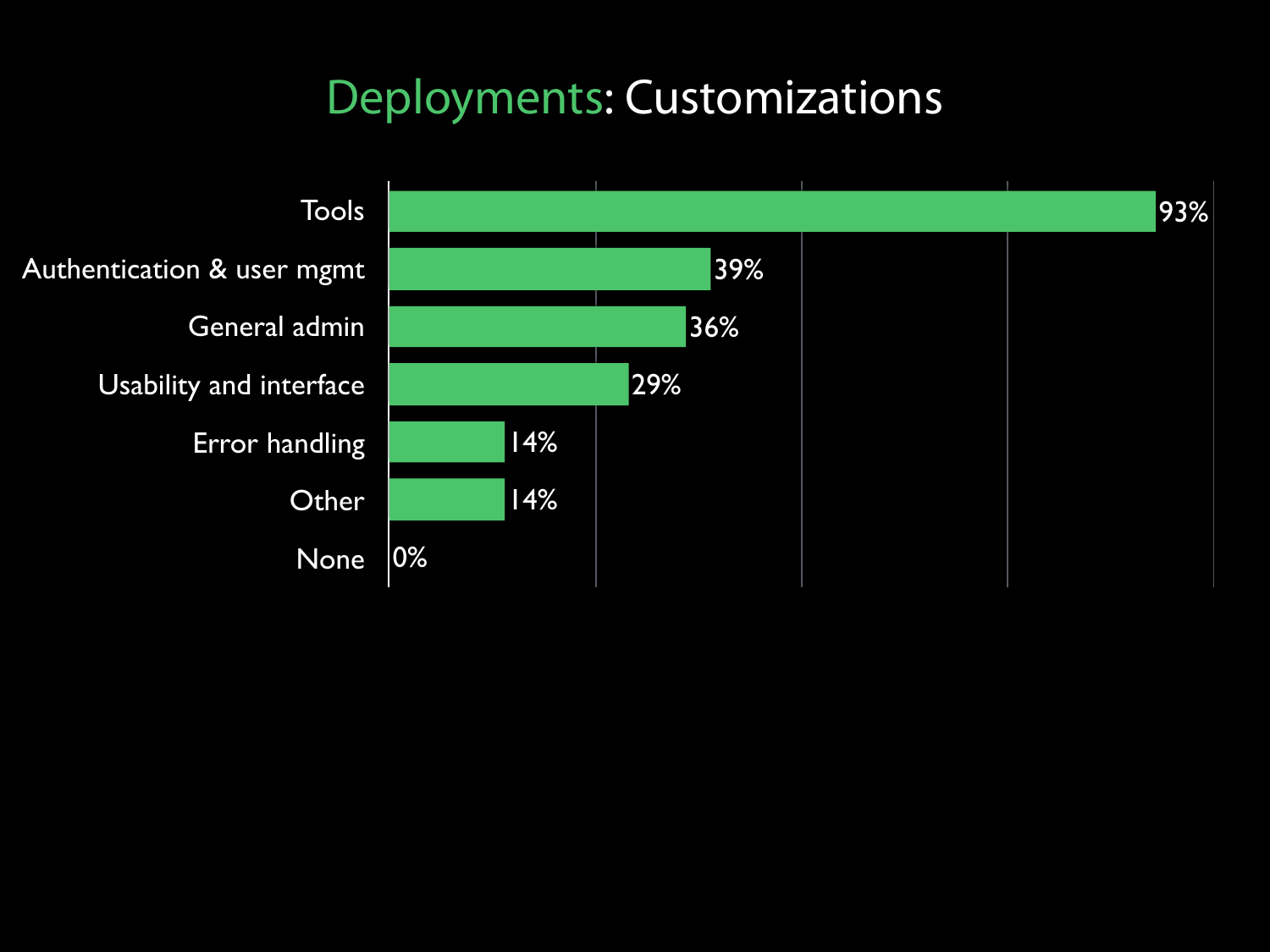#### Deployments: Customizations

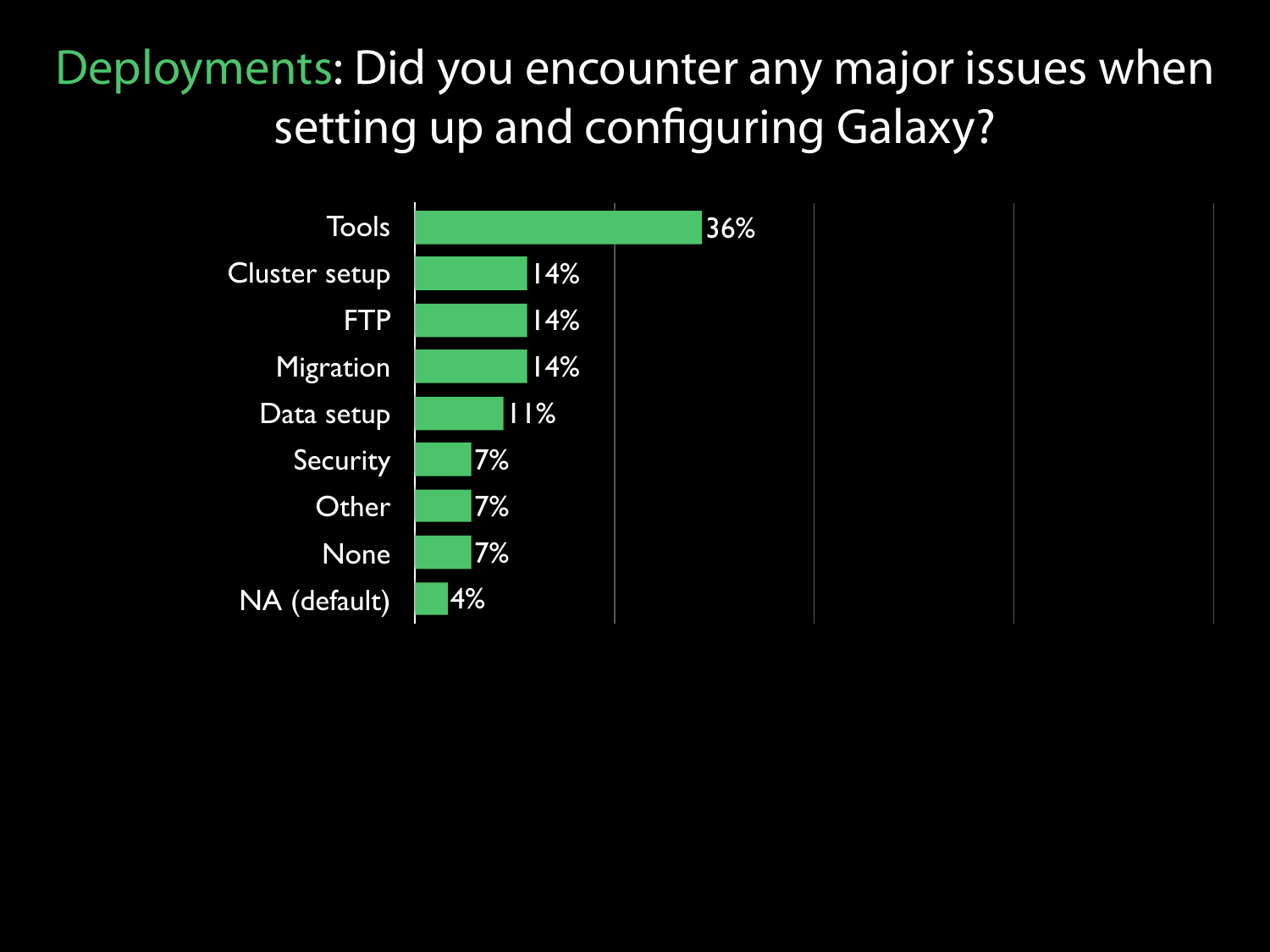#### Deployments: Did you encounter any major issues when setting up and configuring Galaxy?

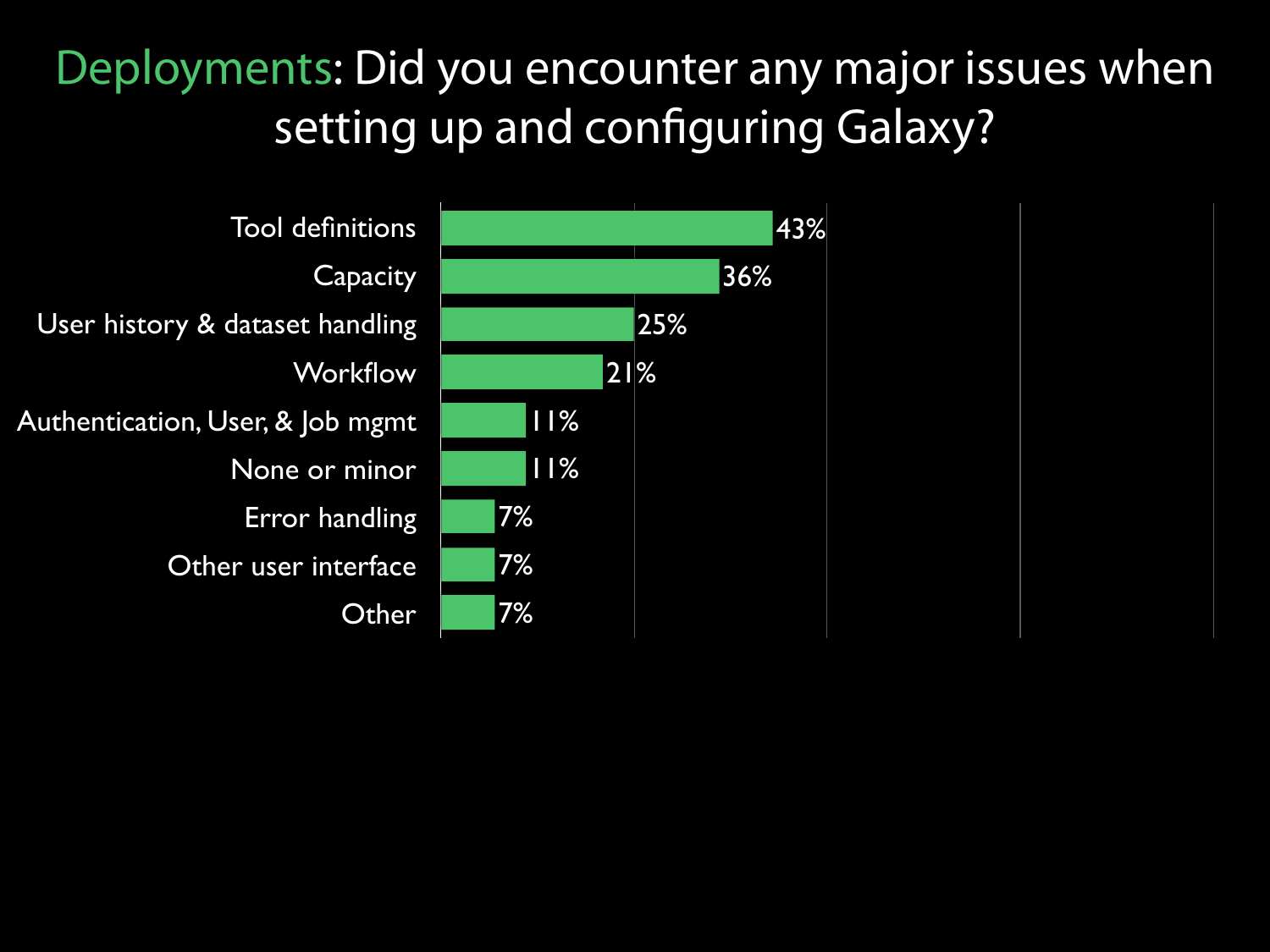#### Deployments: Did you encounter any major issues when setting up and configuring Galaxy?

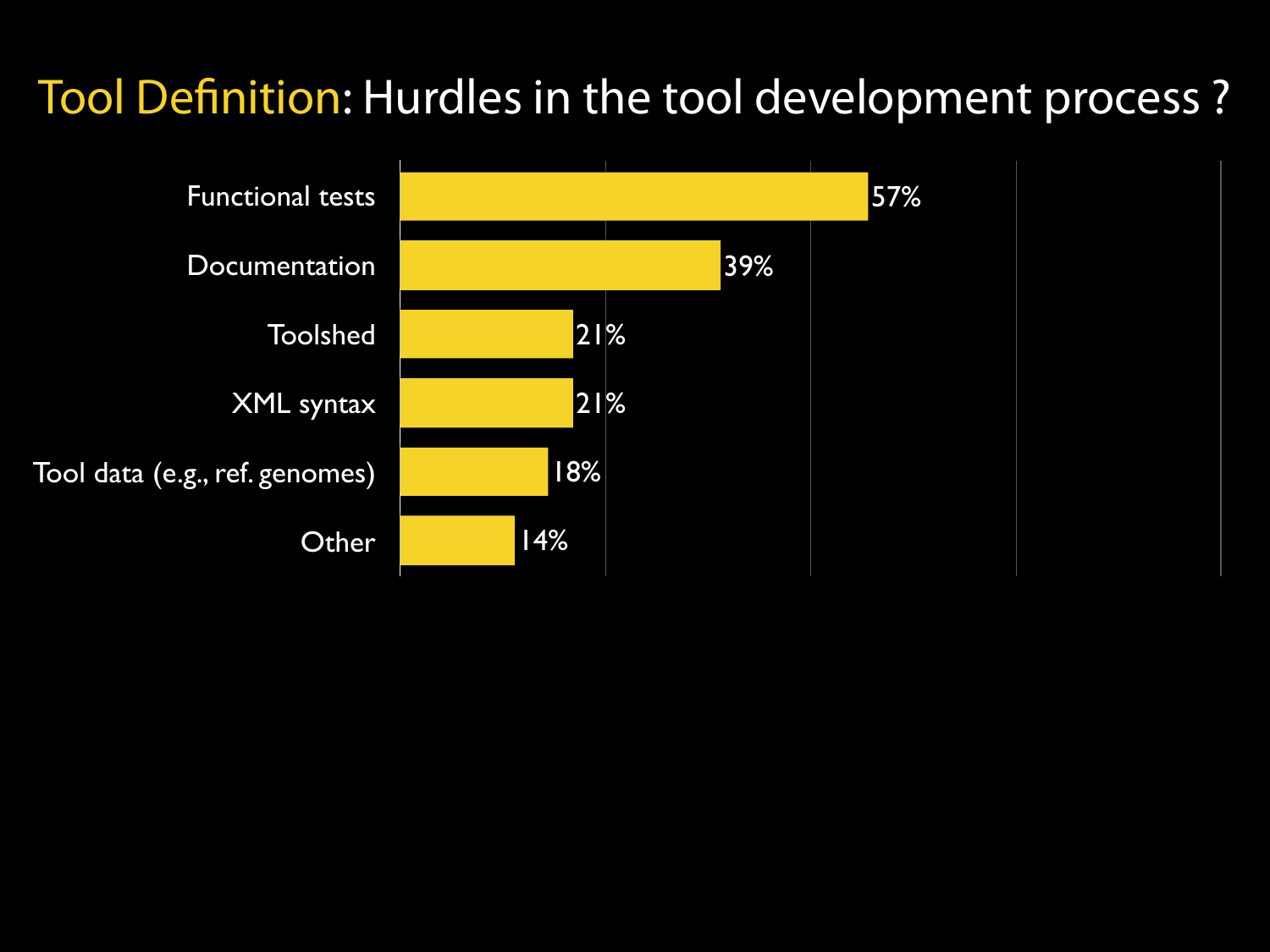#### Tool Definition: Hurdles in the tool development process ?

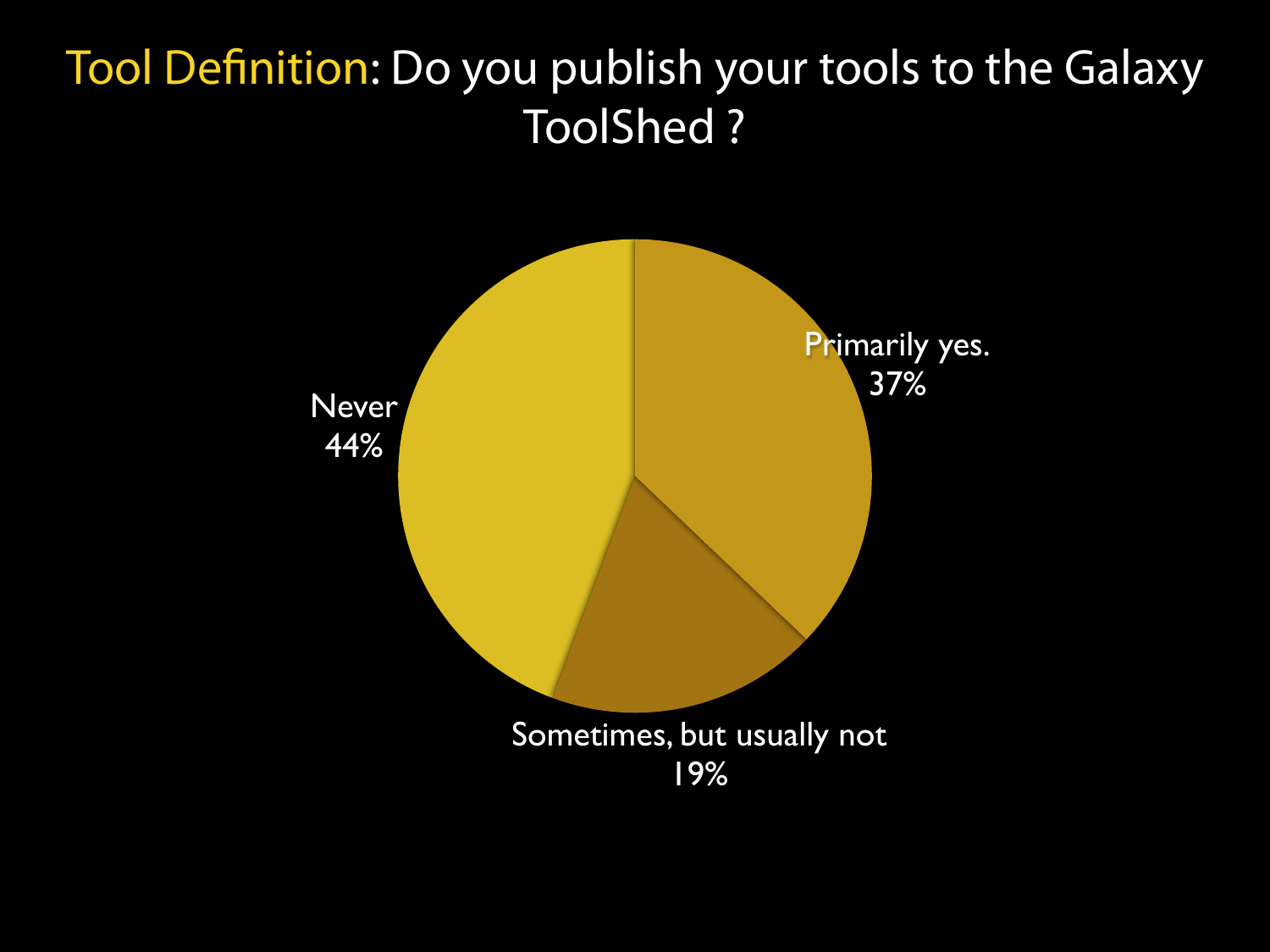#### Tool Definition: Do you publish your tools to the Galaxy ToolShed ?

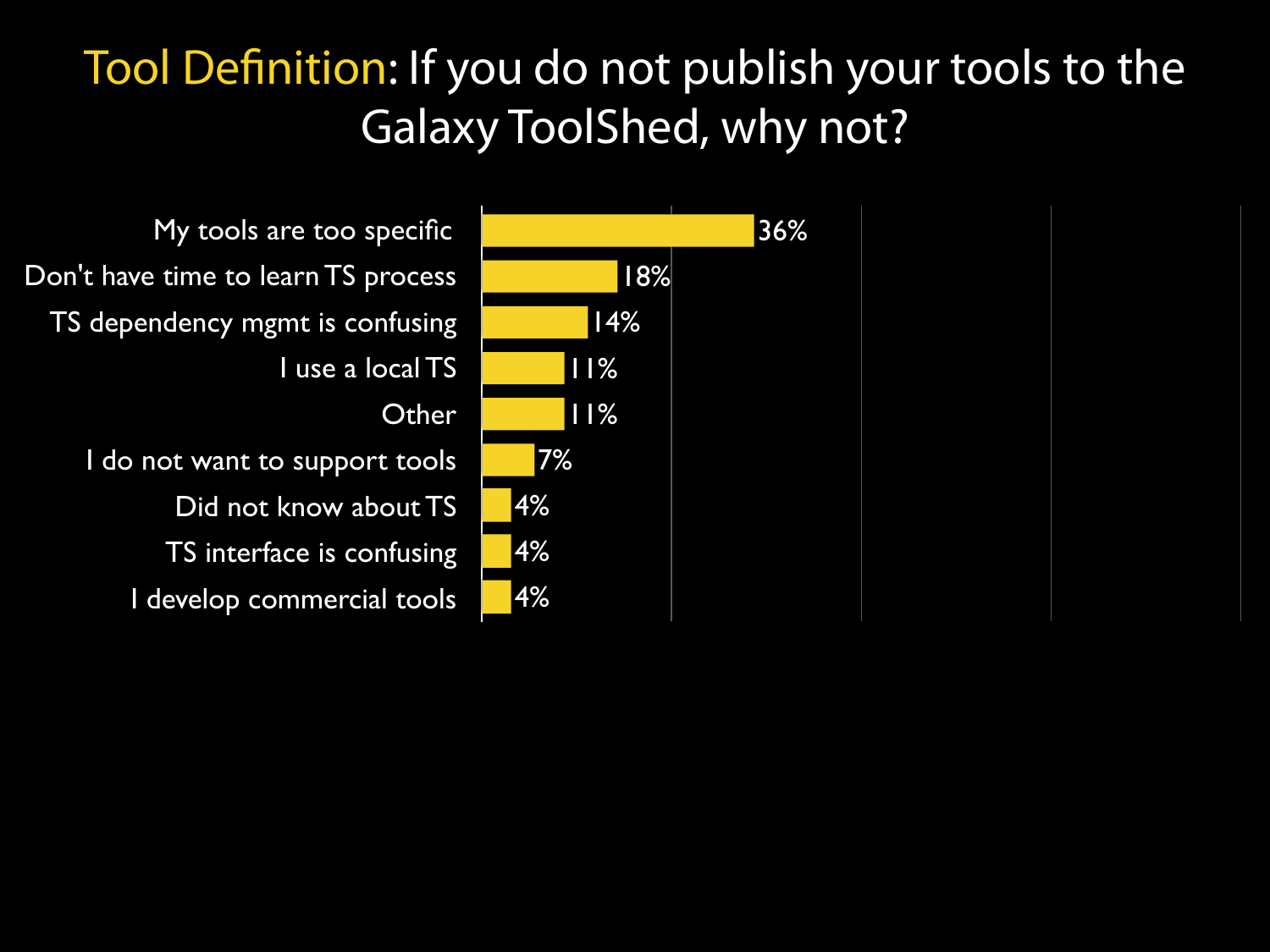#### Tool Definition: If you do not publish your tools to the Galaxy ToolShed, why not?

My tools are too specific Don't have time to learn TS process TS dependency mgmt is confusing I use a local TS **Other** I do not want to support tools Did not know about TS TS interface is confusing

I develop commercial tools

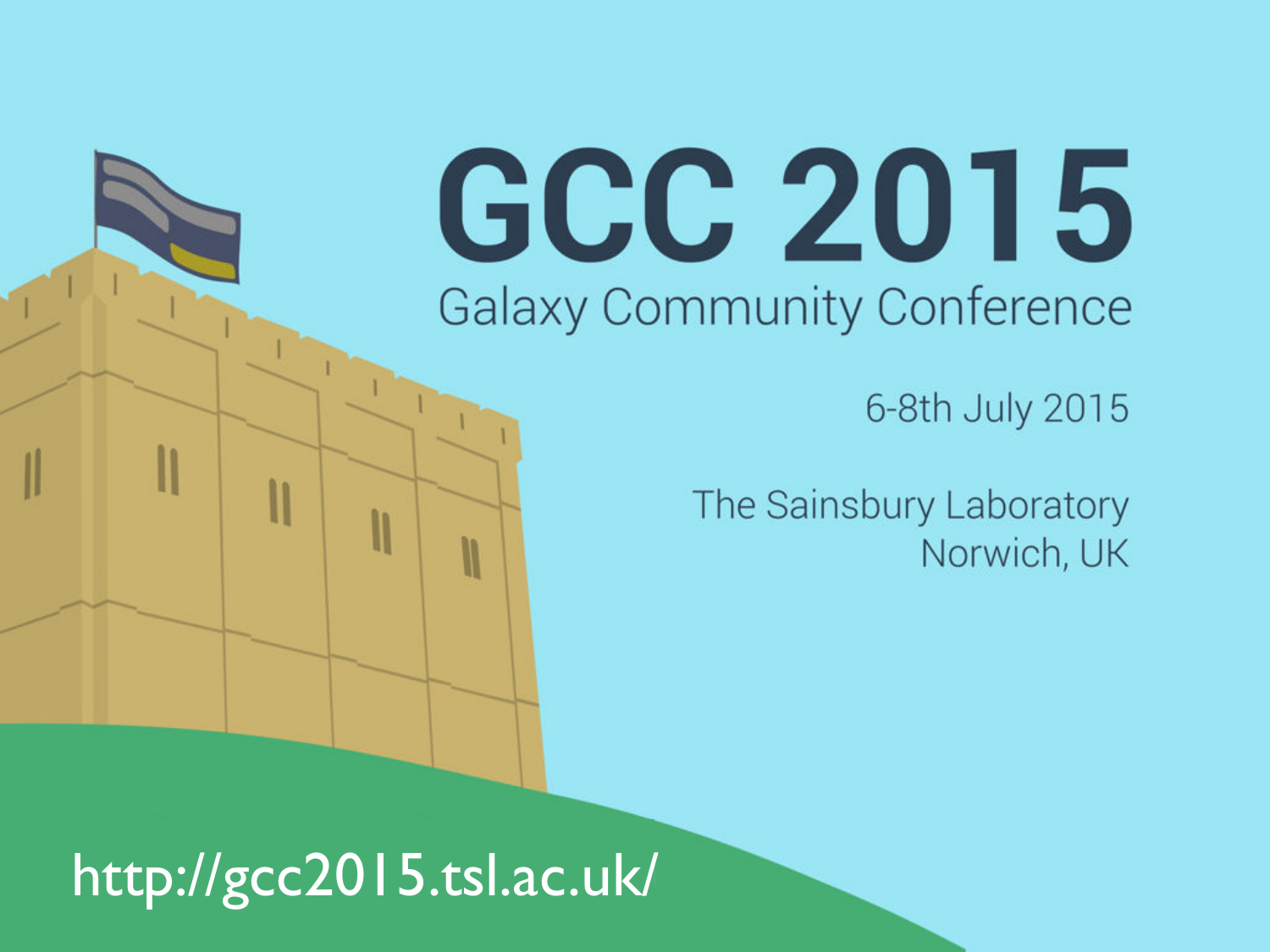# GCC 2015 **Galaxy Community Conference**

6-8th July 2015

The Sainsbury Laboratory Norwich, UK

http://gcc2015.tsl.ac.uk/

N

 $\mathsf{l}\mathsf{l}$ 

II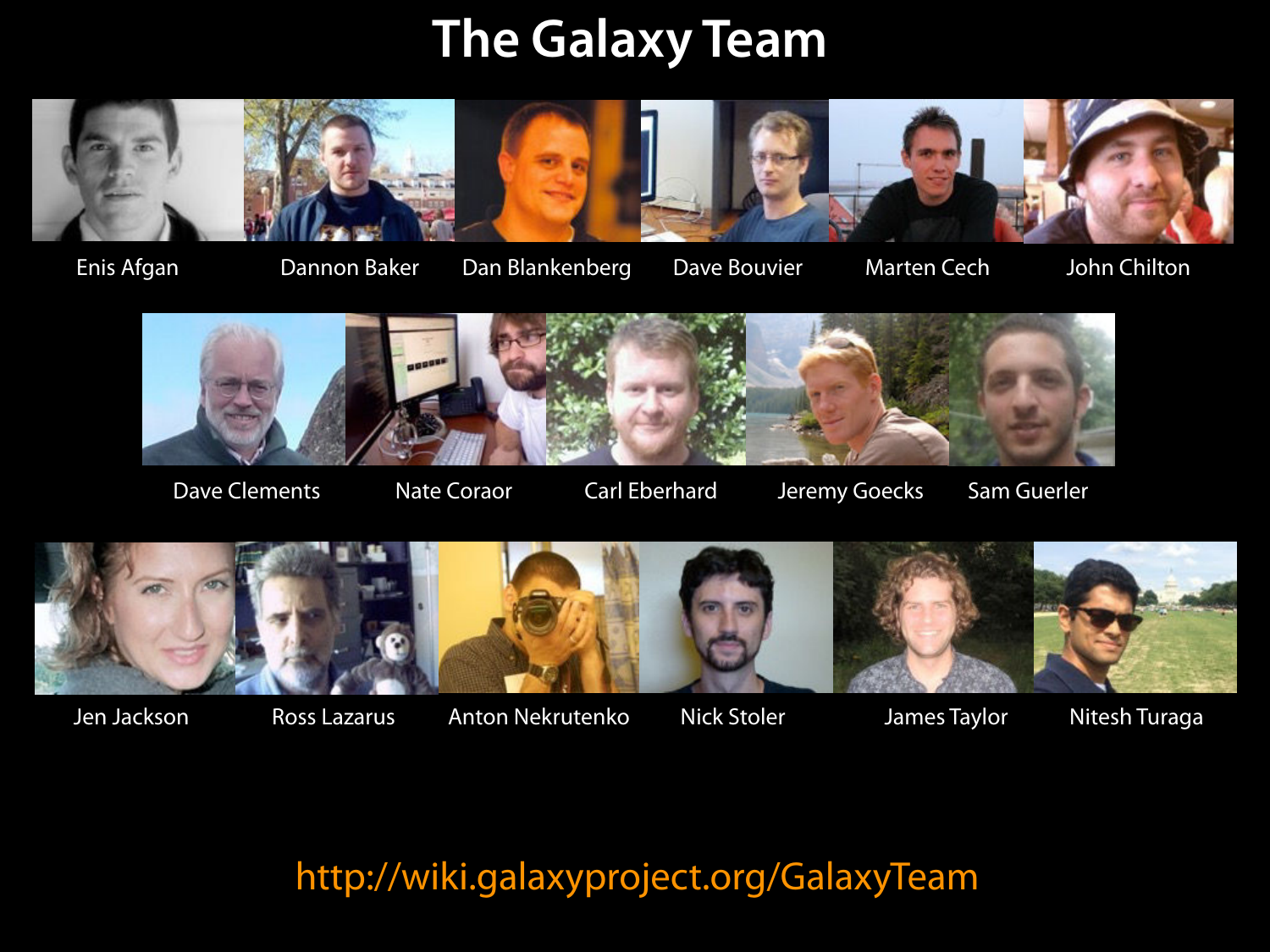### **The Galaxy Team**



Dannon Baker Dan Blankenberg Dave Bouvier Enis Afgan John Chilton

Marten Cech



Dave Clements Mate Coraor Carl Eberhard Jeremy Goecks Sam Guerler



Jen Jackson



Ross Lazarus Anton Nekrutenko Nick Stoler James Taylor

Nick Stoler



Nitesh Turaga

http://wiki.galaxyproject.org/GalaxyTeam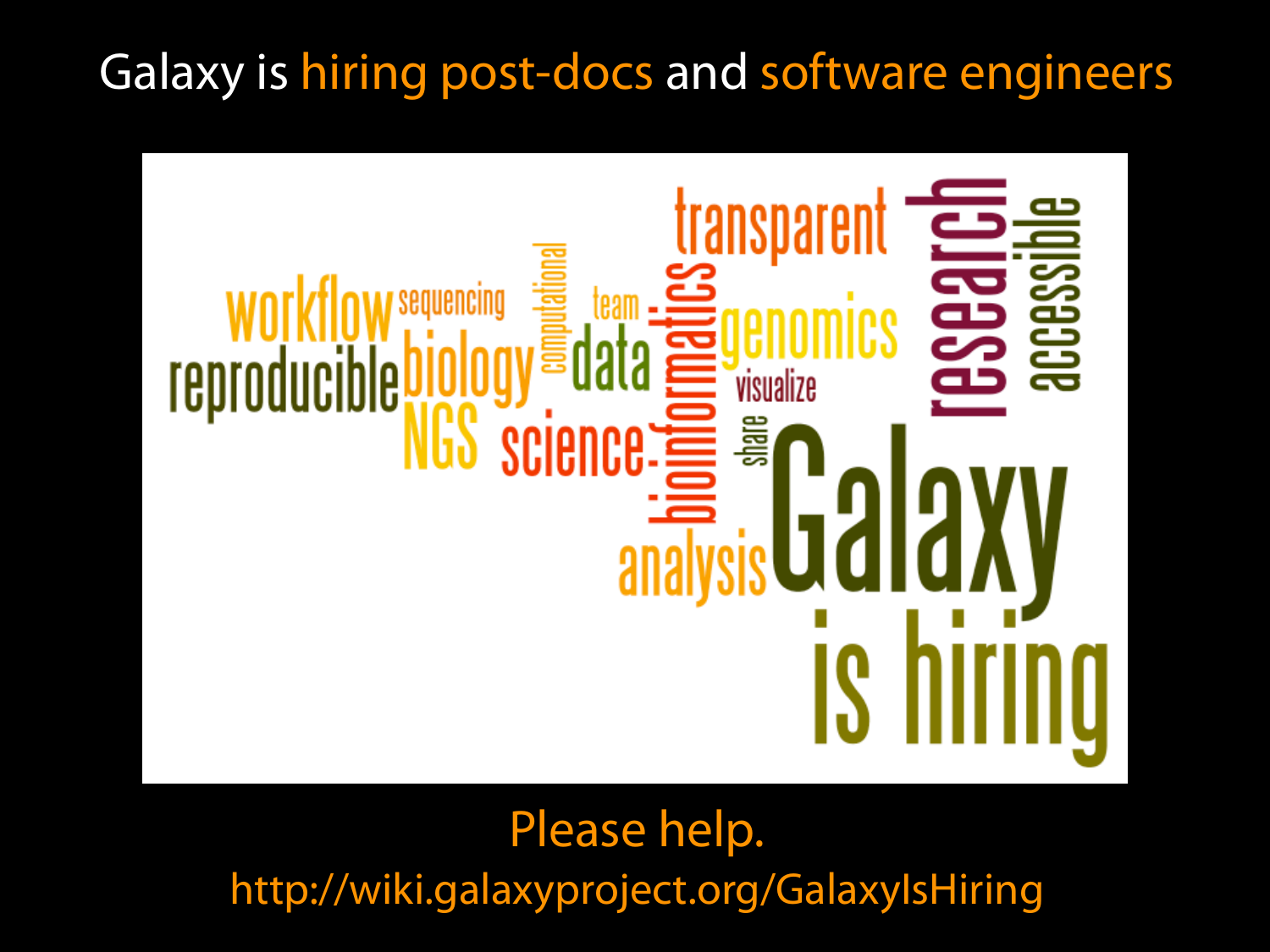#### Galaxy is hiring post-docs and software engineers



[http://wiki.galaxyproject.org/GalaxyIsHiring](http://galaxyproject.org/wiki/GalaxyTeam) Please help.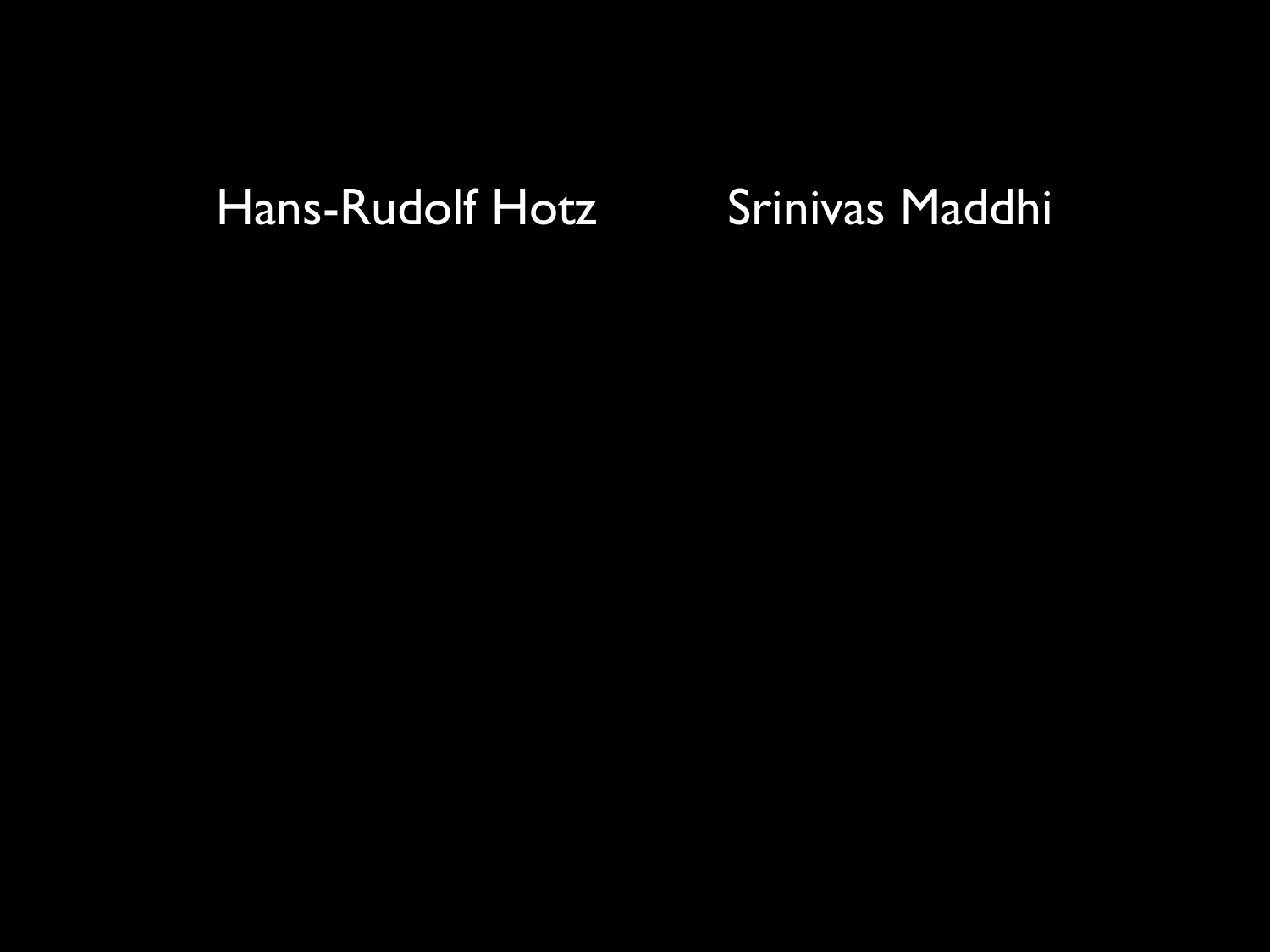#### Hans-Rudolf Hotz Srinivas Maddhi